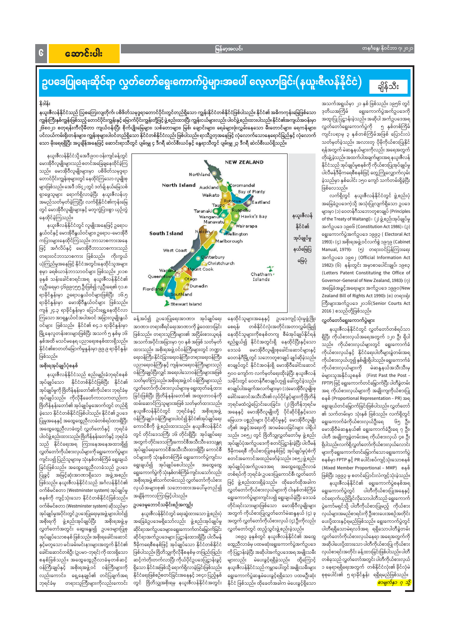### တနင်္ဂနွေ၊ နိုဝင်ဘာ ၇၊ ၂၀၂၁

### မြန်မာ့အလင်း

## အောင်းပါး

### ဥပဒေပြုရေးဆိုင်ရာ လွှတ်တော်ရွေးကောက်ပွဲများအပေါ် လေ့လာခြင်း(နယူးဇီလန်နိုင်ငံ) ချိန်သီး

### နိဒါန်း

 $\mathbf{G}$ 

အသက်အရွယ်မှာ ၂၁ နှစ် ဖြစ်သည်။ ၁၉၅၆ တွင် ရွေးကောက်ပွဲအက်ဥပဒေကို ဒုတိယအကြိမ် အထူးပြု ပြဋ္ဌာန်းခဲ့သည်။ အဆိုပါ အက်ဥပဒေအရ လွှတ်တော်ရွေးကောက်ပွဲကို ၅ နှစ်တစ်ကြိမ် ကျင်းပရာမှ ၃ နှစ်တစ်ကြိမ်အဖြစ် ပြောင်းလဲ သတ်မှတ်ခဲ့သည်။ အလားတူ ပိုမိုကိုယ်စားပြုနိုင် ရန်အတွက် မဲဆန္ဒနယ်များကိုလည်း အရေအတွက် တိုးချဲ့ခဲ့သည်။ အထက်ပါအချက်များအရ နယူးဇီလန် နိုင်ငံသည် အုပ်ချုပ်မှုစနစ်ကို ကိုယ်စားပြုအုပ်ချုပ်မှု ပါလီမန်ဒီမိုကရေစီစနစ်ဖြင့် တွေ့ကြုံလျှောက်လှမ်း ခဲ့သည်မှာ နှစ်ပေါင်း ၁၅၀ ကျော် သက်တမ်းရှိခဲ့ပြီး ဖြစ်လေသည်။

လက်ရှိတွင် နယူးဇီလန်နိုင်ငံတွင် ဖွဲ့စည်းပုံ အခြေခံဥပဒေကဲ့သို့ အသုံးပြုလျက်ရှိသော ဥပဒေ များမှာ (၁) ဝေတန်ဂီသဘောတူစာချုပ် (Principles of the Treaty of Waitangi) ၊ (၂) ဖွဲ့ စည်းအုပ်ချုပ်မှု အက်ဥပဒေ ၁၉၈၆ (Constitution Act 1986) ၊ (၃) ရွေးကောက်ပွဲအက်ဥပဒေ ၁၉၉၃ ( Electoral Act 1993) ၊ (၄) အစိုးရအဖွဲ့ ဝင်လက်စွဲ ၁၉၇၉ (Cabinet Manual, 1979)၊ (၅) တရားဝင်ပြန်ကြားရေး အက်ဥပဒေ ၁၉၈၂ (Official Information Act 1982)၊ (၆) နန်းတွင်း အမှာစာပေါင်းချုပ်၊ ၁၉၈၃ (Letters Patent Constituting the Office of Governor-General of New Zealand, 1983) (o) အခြေခံအခွင့်အရေးများ အက်ဥပဒေ ၁၉၉၀(New Zealand Bill of Rights Act 1990) (ด) တရားရုံး ကြီးများအက်ဥပဒေ ၂၀၁၆(Senior Courts Act 2016 ) စသည်တို့ဖြစ်သည်။

### လွှတ်တော်ရွေးကောက်ပွဲများ

နယူးဇီလန်နိုင်ငံတွင် လွှတ်တော်တစ်ရပ်သာ ရှိပြီး ကိုယ်စားလှယ်အရေအတွက် ၁၂၀ ဦး ရှိပါ သည်။ ကိုယ်စားလှယ်များတွင် ရွေးကောက်ခံ မောအိုဝီလူမျိုးစုခေါင်းဆောင်များနှင့် ကိုယ်စားလှယ်နှင့် နိုင်ငံရေးပါတီများခွဲတမ်းအရ ကိုယ်စားလှယ်ဟူ၍ နှစ်မျိုးရှိပါသည်။ ရွေးကောက်ခံ ကိုယ်စားလှယ်များကို မဲဆန္ဒနယ်အသီးသီးမှ မဲများသူအနိုင်ယူစနစ် (First Past the Post -FPTP) ဖြင့် ရွေးကောက်တင်မြှောက်ပြီး ပါတီခွဲတမ်း အရ ကိုယ်စားလှယ်များကို အချိုးကျကိုယ်စားပြု စနစ် (Proportional Representation – PR) အရ ရွေးချယ်တင်မြှောက်ခြင်းဖြစ်ပါသည်။ လွှတ်တော် ၏ သက်တမ်းမှာ သုံးနှစ် ဖြစ်သည်။ လက်ရှိတွင် ရွေးကောက်ခံကိုယ်စားလှယ်ဦးရေ ၆၅ ဦး၊ မောအိုဝီမဲဆန္ဒနယ်၏ ရွေးကောက်ခံဦးရေ ၇ ဦး၊ ပါတီ အချိုးကျခွဲတမ်းအရ ကိုယ်စားလှယ် ၄၈ ဦး ရှိပါသည်။လက်ရှိလွှတ်တော်ကိုယ်စားလှယ်လောင်း များကို ရွေးကောက်တင်မြှောက်သော ရွေးကောက်ပွဲ စနစ်မှာ FPTP နှင့် PR ပေါင်းစပ်ကျင့်သုံးသောစနစ် (Mixed Member Proportional - MMP) စနစ် ဖြစ်ပြီး ၁၉၉၃ မှ စတင်ပြောင်းလဲကျင့်သုံးခဲ့သည်။ ဖွဲ့ စည်းထားရှိခဲ့သည်။ ထိုခေတ်ထိုအခါက နယူးဇီလန်နိုင်ငံ၏ ရွေးကောက်ပွဲစနစ်အရ လွှတ်တော်ကိုယ်စားလှယ်များကို ငါးနှစ်တစ်ကြိမ် ရွေးကောက်ပွဲတွင် ပါတီကိုယ်စားပြုအနေနှင့် ရွေးကောက်ပွဲများကျင်းပ၍ ရွေးချယ်ခဲ့ပြီး ဒေသခံ ဝင်ရောက်ယှဉ်ပြိုင်လိုသောပါတီသည် ရွေးကောက် တိုင်းရင်းသားများဖြစ်သော မောအိုဝီလူမျိုးများ ပွဲကော်မရှင်သို့ ပါတီကိုယ်စားပြုမည့် ကိုယ်စား အတွက် ကိုယ်စားပြုလွှတ်တော်မဲဆန္ဒနယ် (၄) ခု လှယ်များအမည်စာရင်းကို ဦးစားပေးအစဉ်အတိုင်း အတွက် လွှတ်တော်ကိုယ်စားလှယ် (၄) ဦးကိုလည်း ပေးပို့ထားနှင့်ရမည်ဖြစ်သည်။ ရွေးကောက်ပွဲတွင် လွှတ်တော်တွင် ထည့်သွင်းဖွဲ့ စည်းခဲ့သည်။ ပါတီရရှိသောမဲရလဒ်အရ ရရှိသောပါတီခွဲတမ်း ၁၈၉၃ ခုနှစ်တွင် နယူးဇီလန်နိုင်ငံ၏ အထွေ လွှတ်တော်ကိုယ်စားလှယ်နေရာ အရေအတွက်ကို အဆိုပါပေးပို့ထားသော ပါတီကိုယ်စားပြု ကိုယ်စား ထွေညီလာခံမှ ပထမဆုံးရွေးကောက်ပွဲအက်ဥပဒေ လှယ်စာရင်းအတိုင်း ခန့်ထားခြင်းဖြစ်ပါသည်။ ပါတီ ကို ပြဋ္ဌာန်းခဲ့ပြီး အဆိုပါအက်ဥပဒေအရ အမျိုးသမီး တစ်ခုသည် လွှတ်တော်အတွင်း ပါတီကိုယ်စားလှယ် များလည်း မဲပေးခွင့်ရရှိခဲ့သည်။ ထို့ကြောင့် ၁ နေရာရရှိရေးအတွက် တစ်နိုင်ငံလုံး၏ ခိုင်လုံမဲ နယူးဇီလန်နိုင်ငံသည် ကမ္ဘာပေါ်တွင် အမျိုးသမီးများ ရွေးကောက်ပွဲဆန္ဒမဲပေးခွင့်ရရှိသော ပထမဦးဆုံး စုစုပေါင်း၏ ၅ရာခိုင်နှုန်း ရရှိရမည်ဖြစ်သည်။ နိုင်ငံ ဖြစ်သည်။ ထိုခေတ်အခါက မဲပေးခွင့်ရှိသော <mark>စာမျက်နှာ ၇ သို့</mark>

နယူးဇီလန်နိုင်ငံသည် ဩစတြေးလျတိုက်၊ ပစိဖိတ်သမုဒ္ဒရာတောင်ပိုင်းတွင်တည်ရှိသော ကျွန်းနိုင်ငံတစ်နိုင်ငံဖြစ်ပါသည်။ နိုင်ငံ၏ အဓိကကုန်းမြေဖြစ်သော ကျွန်းကြီးနှစ်ကျွန်းဖြစ်သည့် တောင်ပိုင်းကျွန်းနှင့် မြောက်ပိုင်းကျွန်းတို့ဖြင့် ဖွဲ့ စည်းထားပြီး ကျွန်းငယ်များလည်း ပါဝင်ဖွဲ့ စည်းထားပါသည်။ နိုင်ငံ၏အကျယ်အဝန်းမှာ ၂၆၈၀၂၁ စတုရန်းကီလိုမီတာ ကျယ်ဝန်းပြီး စိုက်ပျိုးမြေများ၊ သစ်တောများ၊ မြစ်၊ ချောင်းများ၊ ရေခဲများဖုံးလွှမ်းနေသော မီးတောင်များ၊ ရေကန်များ၊ ပင်လယ်ကမ်းရိုးတန်းများ၊ ကျန်းစုများပါဝင်တည်ရှိသော နိုင်ငံတစ်နိုင်ငံလည်း ဖြစ်ပါသည်။ ရာသီဥတုအနေဖြင့် လုံလောက်သောနေရောင်ခြည်နှင့် လုံလောက် သော မိုးရေရရှိပြီး အပူချိန်အနေဖြင့် ဆောင်းရာသီတွင် ပျမ်းမျှ ၄ ဒီဂရီ ဆဲလ်စီးယပ်နှင့် နွေရာသီတွင် ပျမ်းမျှ ၂၃ ဒီဂရီ ဆဲလ်စီးယပ်ရှိသည်။



နေထိုင်သူများအနေနှင့် ဥပဒေကျင့်သုံးမှုဖွံ့ဖြိုး တစ်နိုင်ငံလုံးအတိုင်းအတာလွှမ်းခြုံ၍ စေရန်၊ နေထိုင်သူများကိုစနစ်တကျ စီမံအုပ်ချုပ်နိုင်ရန် ရည်ရွယ်၍ နိုင်ငံအတွင်းရှိ နေထိုင်ပြီးနှင့်သော ဒေသခံ ဝေတန်ဂီမြို့တွင် သဘောတူစာချုပ် ချုပ်ဆိုခဲ့သည်။ စာချုပ်တွင် နိုင်ငံအဝန်းရှိ မောအိုဝီခေါင်းဆောင် ၅၀၀ ကျော်က လက်မှတ်ရေးထိုးခဲ့ပြီး နယူးဇီလန် သမိုင်းတွင် ဝေတန်ဂီစာချုပ်ဟူ၍ ခေါ်တွင်ခဲ့သည်။ စာချုပ်ပါအချက်အလက်များမှာ (၁)မောအိုဝီလူမျိုးစု ခေါင်းဆောင်အသီးသီး၏ လုပ်ပိုင်ခွင့်များကို ဗြိတိန် ဘုရင်မထံလွှဲပြောင်းပေးခြင်း၊ (၂) ဗြိတိန်ဘုရင်မ အနေနှင့် မောအိုဝီလူမျိုးတို့ ပိုင်ဆိုင်ရှိနှင့်သော မြေယာ၊ ပစ္စည်းများ ပိုင်ဆိုင်မှုနှင့် မောအိုဝီလူမျိုး တို့၏ အခွင့်အရေးကို အာမခံပေးခြင်းများ ပါရှိပါ သည်။ ၁၈၅၂ တွင် ဗြိတိသျှလွှတ်တော်မှ ဖွဲ့စည်း အုပ်ချုပ်ပုံအက်ဥပဒေကို စတင်ပြဋ္ဌာန်းခဲ့ပြီး ပါလီမန် ဒီမိုကရေစီ ကိုယ်စားပြုစနစ်ဖြင့် အုပ်ချုပ်မှုပုံစံကို စတင်အကောင်အထည်ဖော်ခဲ့သည်။ ၁၈၅၂ ဖွဲ့ စည်း အုပ်ချုပ်ပုံအက်ဥပဒေအရ အထွေထွေညီလာခံ တစ်ရပ်ကို ဘုရင်ခံ၊ ဥပဒေပြုကောင်စီ၊ လွှတ်တော်

ဖြင့်

ခန့်အပ်၍ ဥပဒေပြုရေးအာဏာ၊ အုပ်ချုပ်ရေး အာဏာ၊ တရားစီရင်ရေးအာဏာကို ခွဲဝေထားခြင်း ဖြစ်သည်။ တရားသူကြီးများ၏ အငြိမ်းစားယူရန် အသက်အပိုင်းအခြားမှာ ၇၀ နှစ် အဖြစ် သတ်မှတ် ထားသည်။ အစိုးရအဖွဲ့ ဝင်ဝန်ကြီးများတွင် ဘဏ္ဍာ ရေးဝန်ကြီး၊ နိုင်ငံခြားရေးဝန်ကြီး၊ တရားရေးဝန်ကြီး၊ ပညာရေးဝန်ကြီးနှင့် ကျန်းမာရေးဝန်ကြီးများသည် ဝန်ကြီးချုပ်ပြီးလျှင် အရေးပါသောဝန်ကြီးများအဖြစ် သတ်မှတ်ကြသည်။ အစိုးရအဖွဲ့ ဝင် ဝန်ကြီးများသည် လွှတ်တော်ကိုယ်စားလှယ်များမှ ရွေးထုတ်ခန့်ထား ခြင်းဖြစ်ပြီး ဗြိတိန်နန်းတော်၏ အထူးတာဝန်ကို ထမ်းဆောင်ကြသူများအဖြစ် သတ်မှတ်ထားသည်။ နယူးဇီလန်နိုင်ငံတွင် ဘုရင်ခံနှင့် အစိုးရအဖွဲ့ ဝန်ကြီးချုပ်၊ ဝန်ကြီးများပါဝင်၍ နိုင်ငံ၏အုပ်ချုပ်ရေး ကောင်စီကို ဖွဲ့စည်းထားသည်။ နယူးဧိလန်နိုင်ငံ တွင် တိုင်းဒေသကြီး ၁၆ တိုင်းရှိပြီး အုပ်ချုပ်ရေး အတွက် တိုင်းဒေသကြီးကောင်စီအသီးသီး၊ ဒေသန္တရ အုပ်ချုပ်ရေးကောင်စီအသီးသီးထားရှိပြီး ကောင်စီ ဝင်များကို သုံးနှစ်တစ်ကြိမ် ရွေးကောက်ပွဲကျင်းပ ရွေးချယ်၍ အုပ်ချုပ်စေပါသည်။ အထွေထွေ ရွေးကောက်ပွဲကိုသုံးနှစ်တစ်ကြိမ်ကျင်းပသော်လည်း

နယူးဇီလန်နိုင်ငံသို့ အေဒီ ၉၀၀ ဝန်းကျင်ခန့်တွင် မောအိုဝီလူမျိုးများသည် စတင်အခြေချနေထိုင်ခဲ့ကြ သည်။ မောအိုဝီလူမျိုးများမှာ ပစိဖိတ်သမုဒ္ဒရာ တောင်ပိုင်းကျွန်းစုများတွင် နေထိုင်ကြသော လူမျိုးစု များဖြစ်သည်။ အေဒီ ၁၆၄၂ တွင် ဒတ်ချ် နယ်မြေသစ် ရာဖွေသူများ ရောက်ရှိလာခဲ့ပြီး နယူးဇီလန်ဟု အမည်သတ်မှတ်ခဲ့ကြပြီး လက်ရှိနိုင်ငံ၏ကုန်းမြေ တွင် မောအိုဝီလူမျိုးများနှင့် မတူကွဲပြားစွာ ယှဉ်တွဲ နေထိုင်ခဲ့ကြသည်။

နယူးဇီလန်နိုင်ငံတွင် လူမျိုးအနေဖြင့် ဥရောပ နွယ်ဝင်နှင့် မောအိုဝီနွယ်ဝင်များ၊ ဥရောပ–မောအိုဝီ ကပြားများနေထိုင်ကြသည်။ ဘာသာစကားအနေ ဖြင့် အင်္ဂလိပ်နှင့် မောအိုဝီဘာသာစကားသည် တရားဝင်ဘာသာစကား ဖြစ်သည်။ ကိုးကွယ် ယုံကြည်မှုအနေဖြင့် နိုင်ငံအတွင်းနေထိုင်သူအများ စုမှာ ခရစ်ယာန်ဘာသာဝင်များ ဖြစ်သည်။ ၂၀၁၈ ခုနှစ် သန်းခေါင်စာရင်းအရ နယူးဇီလန်နိုင်ငံ၏ လူဦးရေမှာ ၄၆၉၉၇၅၅ ဦးဖြစ်၍ လူဦးရေ၏ ၇၁.၈ ရာခိုင်နှုန်းမှာ ဥရောပနွယ်ဝင်များဖြစ်ပြီး ၁၆.၅ ရာခိုင်နူန်းမှာ မောအိုဝီနွယ်ဝင်များ ဖြစ်သည်။ ကျန် ၂၄.၃ ရာခိုင်နှုန်းမှာ ပြောင်းရွှေ့နေထိုင်လာ ကြသော အာရှနွယ်ဝင်အပါအဝင် အခြားလူမျိုးနွယ် ဝင်များ ဖြစ်သည်။ နိုင်ငံ၏ ၈၄.၁ ရာခိုင်နူန်းမှာ မြို့နေလူတန်းစားများဖြစ်ပြီး အသက် ၅ နှစ်မှ ၁၆ နှစ်အထိ မသင်မနေရ ပညာရေးစနစ်ထားရှိသည်။ နိုင်ငံ၏စာတတ်မြောက်မှုနှုန်းမှာ ၉၉.၉ ရာခိုင်နှုန်း ဖြစ်သည်။

### အစိုးရအုပ်ချုပ်ပုံစနစ်

နယူးဇီလန်နိုင်ငံသည် စည်းမျဉ်းခံဘုရင်စနစ် အုပ်ချုပ်သော နိုင်ငံတစ်နိုင်ငံဖြစ်ပြီး နိုင်ငံ၏ အုပ်ချုပ်မှုကို ဗြိတိန်နန်းတော်၏ကိုယ်စား ဘုရင်ခံမှ အုပ်ချုပ်သည်။ ကိုလိုနီခေတ်ကာလကတည်းက ဗြိတိန်နန်းတော်၏ အုပ်ချုပ်မှုအောက်တွင် တည်ရှိ ခဲ့သော နိုင်ငံတစ်နိုင်ငံဖြစ်ပါသည်။ နိုင်ငံ၏ ဥပဒေ ပြုမှုအနေနှင့် အထွေထွေညီလာခံတစ်ရပ်ထားရှိပြီး အထွေထွေညီလာခံတွင် လွှတ်တော်နှင့် ဘုရင်ခံ ပါဝင်ဖွဲ့စည်းထားသည်။ဗြိတိန်နန်းတော်နှင့် ဘုရင်ခံ သည် နိုင်ငံရေးအရ ကြားနေအနေအထားရှိ၍ လွှတ်တော်ကိုယ်စားလှယ်များကို ရွေးကောက်ပွဲများ ကျင်းပ၍ ပြည်သူများမှ သုံးနှစ်တစ်ကြိမ် ရွေးချယ် ခြင်းဖြစ်သည်။ အထွေထွေညီလာခံသည် ဥပဒေ ပြုခွင့် အမြင့်ဆုံးအာဏာရှိသော အဖွဲ့အစည်း ဖြစ်သည်။ နယူးဇီလန်နိုင်ငံသည် အင်္ဂလန်နိုင်ငံ၏ ဝက်စ်မင်စတာ (Westminster system) အုပ်ချုပ်မှု စနစ်ကို ကျင့်သုံးသော နိုင်ငံတစ်နိုင်ငံဖြစ်သည်။ ဝက်စ်မင်စတာ (Westminster system) ဆိုသည်မှာ အုပ်ချုပ်မှုအပိုင်းတွင် ဥပဒေပြုရေးမှအဖွဲ့ များပါဝင်၍ အစိုးရကို ဖွဲ့စည်းအုပ်ချုပ်ပြီး အစိုးရအဖွဲ့ မှ လွှတ်တော်အတွင်း ဆွေးနွေး၍ ဥပဒေများပြုစု အုပ်ချုပ်သောစနစ် ဖြစ်သည်။ အစိုးရခေါင်းဆောင် နှင့်မတူသော မင်းခမ်းမင်းနားများအတွက် နိုင်ငံ၏ ခေါင်းဆောင်တစ်ဦး (ဥပမာ–ဘုရင်) ကို ထားရှိသော စနစ်ဖြစ်သည်။ အထွေထွေညီလာခံမှတစ်ဆင့် ဝန်ကြီးချုပ်နှင့် အစိုးရအဖွဲ့ဝင် ဝန်ကြီးများကို လည်းကောင်း၊ ရှေ့နေချုပ်၏ တင်ပြချက်အရ ဘုရင်ခံမှ တရားသူကြီးများကိုလည်းကောင်း

အစိုးရအဖွဲ့ ၏သက်တမ်းသည် လွှတ်တော်ကိုယ်စား လှယ်အများစု၏ သဘောထားအပေါ်မူတည်၍ အချိန်ကာလကြာမြင့်ပါသည်။

### ဥပဒေမူဘောင်သမိုင်းစဉ်အကျဉ်း

နယူးဇီလန်နိုင်ငံတွင် ရေးဆွဲထားသော ဖွဲ့စည်းပုံ အခြေခံဥပဒေမရှိသော်လည်း ဖွဲ့စည်းအုပ်ချုပ်မှု ဆိုင်ရာအက်ဥပဒေများ၊ ရွေးကောက်တင်မြှောက်ခြင်း ဆိုင်ရာအက်ဥပဒေများ ပြဋ္ဌာန်းထားရှိပြီး ပါလီမန် ဒီမိုကရေစီစနစ်ဖြင့် အုပ်ချုပ်သော နိုင်ငံတစ်နိုင်ငံ ဖြစ်ပါသည်။ ဗြိတိသျှကိုလိုနီစနစ်မှ တဖြည်းဖြည်း ဆင့်ကဲတိုးတက်လာပြီး ကိုယ်ပိုင်ဥပဒေပြဋ္ဌာန်းခွင့် ရှိသော နိုင်ငံအဖြစ်သို့ ရောက်ရှိလာခဲ့ခြင်းဖြစ်သည်။ နိုင်ငံရေးဖြစ်စဉ်စတင်ခြင်းအနေနှင့် ၁၈၄၀ ပြည့်နှစ် တွင် ဗြိတိသျှအစိုးရမှ နယူးဇီလန်နိုင်ငံအတွင်း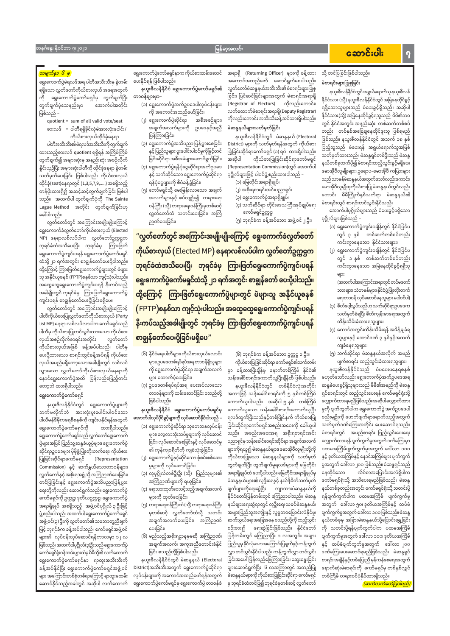### မြန်မာ့အလင်း

### တနင်္ဂနွေ၊ နိုဝင်ဘာ ၇၊ ၂၀၂၁

### <mark>စာမျက်နှာ ၆ မှ</mark>

ရွေးကောက်ပွဲမဲရလဒ်အရ ပါတီအသီးသီးမှ ခွဲတမ်း ရရှိသော လွှတ်တော်ကိုယ်စားလှယ် အရေအတွက် ကို ရွေးကောက်ပွဲကော်မရှင်မှ တွက်ချက်ပြီး အောက်ပါအတိုင်း တွက်ချက်ပုံသေနည်းမှာ ဖြစ်သည် –

quotient = sum of all valid vote/seat စားလဒ် = ပါတီရရှိခိုင်လုံမဲအားလုံးပေါင်း/ ကိုယ်စားလှယ်ထိုင်ခုံနေရာ

ပါတီအသီးသီး၏ မဲရလဒ်အသီးသီးကို တွက်ချက် ထားသည့်စားလဒ် quotient ရရှိရန် အကြိမ်ကြိမ် တွက်ချက်၍ အများဆုံးမှ အနည်းဆုံး အစဉ်လိုက် နိူင်းယှဉ်ပြီး အများဆုံးပါတီကို ထိုင်ခုံနေရာ ခွဲတမ်း သတ်မှတ်ပေးခြင်း ဖြစ်ပါသည်။ ကိုယ်စားလှယ် ထိုင်ခုံ(seat)နေရာတွင် (1,3,5,7,9,.....) အစရှိသည့် တန်ဖိုးထားရှိ၍ အဆင့်ဆင့်တွက်ချက်ခြင်း ဖြစ်ပါ သည်။ အထက်ပါတွက်ချက်ပုံကို The Sainte Lague Method အတိုင်း တွက်ချက်ခြင်းဟု ခေါ်ပါသည်။

လွှတ်တော်တွင် အကြောင်းအမျိုးမျိုးကြောင့် ရွေးကောက်ခံလွှတ်တော်ကိုယ်စားလှယ် (Elected MP) နေရာလစ်လပ်ပါက လွှတ်တော်ဥက္ကဋ္ဌက ဘုရင်ခံထံအသိပေးပြီး ဘုရင်ခံမှ ကြားဖြတ် ရွေးကောက်ပွဲကျင်းပရန် ရွေးကောက်ပွဲကော်မရှင် ထံသို့ ၂၁ ရက်အတွင်း စာချွန်တော်ပေးပို့ပါသည်။ ထို့ကြောင့် ကြားဖြတ်ရွေးကောက်ပွဲများတွင် မဲများ သူ အနိုင်ယူစနစ် (FPTP)စနစ်သာ ကျင့်သုံးပါသည်။ အထွေထွေရွေးကောက်ပွဲကျင်းပရန် နီးကပ်သည့် အခါမျိုးတွင် ဘုရင်ခံမှ ကြားဖြတ်ရှေးကောက်ပွဲ ကျင်းပရန် စာချွန်တော်ပေးပို့ခြင်းမရှိပေ။

လွှတ်တော်တွင် အကြောင်းအမျိုးမျိုးကြောင့် ပါတီကိုယ်စားပြုလွှတ်တော်ကိုယ်စားလှယ် (Party list MP) နေရာ လစ်လပ်လာပါက ကော်မရှင်သည် ပါတီမှ ကိုယ်စားပြုတင်သွင်းထားသော ကိုယ်စား လွှတ်တော် လှယ်အစဉ်လိုက်စာရင်းအတိုင်း ကိုယ်စားလှယ်အဖြစ် ခန့်အပ်ပါသည်။ ပါတီမှ ပေးပို့ထားသော စာရင်းတွင်ခန့်အပ်ရန် ကိုယ်စား လှယ်အမည်မရှိတော့သောအခါမျိုးတွင် လစ်လပ် သွားသော လွှတ်တော်ကိုယ်စားလှယ်နေရာကို နောင်ရွေးကောက်ပွဲအထိ ပြန်လည်မဖြည့်တင်း တော့ဘဲ ထားရှိပါသည်။

### ရွေးကောက်ပွဲကော်မရှင်

နယူးဇီလန်နိုင်ငံတွင် ရွေးကောက်ပွဲများကို ဘက်မလိုက်ဘဲ အားလုံးပူးပေါင်းပါဝင်သော ပါလီမန်ဒီမိုကရေစီစနစ်ကို ကျင်းပနိုင်ရန်အတွက် ရွေးကောက်ပွဲကော်မရှင်ကို ထားရှိပါသည်။ ရှေးကောက်ပွဲကော်မရှင်သည် လွှတ်တော်ရွေးကောက် ပွဲများအပြင် ပြည်သူ့ဆန္ဒခံယူပွဲများ၊ ရွေးကောက်ပွဲ ဆိုင်ရာဥပဒေများ ပိုမိုဖွံ့ဖြိုးတိုးတက်ရေး၊ ကိုယ်စား ပြုခြင်းဆိုင်ရာကော်မရှင် (Representation Commission) နှင့် ဆက်နွှယ်သောတာဝန်များ၊ လွှတ်တော်နှင့် အစိုးရအဖွဲ့သို့ အကြံဉာဏ်ပေးခြင်း၊ တင်ပြခြင်းနှင့် ရွေးကောက်ပွဲအသိပညာပြန့်ပွား ရေးတို့ကိုလည်း ဆောင်ရွက်သည်။ ရွေးကောက်ပွဲ ကော်မရှင်ကို ဥက္ကဋ္ဌ၊ ဒုတိယဥက္ကဋ္ဌ၊ ရွေးကောက်ပွဲ အရာရှိချုပ် အစရှိသည့် အဖွဲ့ဝင်ပုဂ္ဂိုလ် ၃ ဦးဖြင့် ဖွဲ့ စည်းပါသည်။ အထက်ပါ ရွေးကောက်ပွဲကော်မရှင် အဖွဲ့ ဝင်(၃) ဦးကို လွှတ်တော်၏ သဘောတူညီချက် ဖြင့် ဘုရင်ခံက ခန့်အပ်ပါသည်။ ကော်မရှင်အဖွဲ့ ဝင် များ၏ လုပ်ငန်းလုပ်ဆောင်ရန်ကာလမှာ ၁၂ လ ဖြစ်သည်။အထက်ပါပုဂ္ဂိုလ်(၃)ဦးသည် ရွေးကောက်ပွဲ ကော်မရှင်ရုံးဝန်ထမ်းများထဲမှ မိမိတို့၏ လက်ထောက် ရွေးကောက်ပွဲကော်မရှင်နာ ရာထူးအသီးသီးကို ခန့်အပ်နိုင်ပြီး ရွေးကောက်ပွဲကော်မရှင်အဖွဲ့ဝင် များ အကြောင်းတစ်စုံတစ်ရာကြောင့် ရာထူးမထမ်း ဆောင်နိုင်သည့်အခါတွင် အဆိုပါ လက်ထောက်

ရွေးကောက်ပွဲကော်မရှင်နာက ကိုယ်စားထမ်းဆောင် အရာရှိ (Returning Officer) များကို ခန့်ထား ပေးနိုင်ရန် ဖြစ်ပါသည်။

### နယူးဇီလန်နိုင်ငံ ရွေးကောက်ပွဲကော်မရှင်၏ တာဝန်များမှာ–

- (၁) ရွေးကောက်ပွဲအက်ဥပဒေပါလုပ်ငန်းများ ကို အကောင်အထည်ဖော်ခြင်း၊
- (၂) ရွေးကောက်ပွဲဆိုင်ရာ အစီအစဉ်များ၊ အချက်အလက်များကို ဥပဒေနှင့်အညီ ပြန်ကြားခြင်း၊
- (၃) ရွေးကောက်ပွဲအသိပညာပြန့်ပွားစေခြင်း နှင့်ပြည်သူများ ပူးပေါင်းပါဝင်မှုကိုမြှင့်တင် ခြင်းဆိုင်ရာ အစီအမံများဆောင်ရွက်ခြင်း၊
- (၄) ရွေးကောက်ပွဲရန်ပုံငွေဆိုင်ရာအက်ဥပဒေ နှင့် သက်ဆိုင်သော ရွေးကောက်ပွဲဆိုင်ရာ ရန်ပုံငွေများကို စီမံခန့်ခွဲခြင်း၊
- (၅) ကော်မရှင်သို့ မေးမြန်းလာသော အချက် အလက်များနှင့် စပ်လျဉ်း၍ တရားရေး ဝန်ကြီး (သို့) တရားရေးဝန်ကြီးမှတစ်ဆင့် လွှတ်တော်ထံ သတင်းပေးခြင်း၊ အကြံ ဉာဏ်ပေးခြင်း၊

အကောင်အထည်ဖော် ဆောင်ရွက်စေပါသည်။ လွှတ်တော်မဲဆန္ဒနယ်အသီးသီး၏ မဲစာရင်းများပြုစု ခြင်း၊ ပြင်ဆင်ခြင်းများအတွက် မဲစာရင်းအရာရှိ (Registrar of Electors) ကိုလည်းကောင်း၊ လက်ထောက်မဲစာရင်းအရာရှိ(Deputy Registrar) ကိုလည်းကောင်း အသီးသီးခန့်အပ်ထားရှိပါသည်။ မဲဆန္ဒနယ်များသတ်မှတ်ခြင်း

နယူးဇီလန်နိုင်ငံတွင် မဲဆန္ဒနယ် (Electoral District) များကို သတ်မှတ်ရန်အတွက် ကိုယ်စား ပြုခြင်းဆိုင်ရာကော်မရှင် (၁) ရပ် ထားရှိပါသည်။ ကိုယ်စားပြုခြင်းဆိုင်ရာကော်မရှင် အဆိုပါ (Representation Commission)တွင် အောက်ပါ ပုဂ္ဂိုလ်များဖြင့် ပါဝင်ဖွဲ့ စည်းထားပါသည် –

(၁) မြေတိုင်းအရာရှိချုပ်၊

- (၂) အစိုးရစာရင်းအင်းပညာရှင်၊
- (၃) ရွေးကောက်ပွဲအရာရှိချုပ်၊ (၄) သက်ဆိုင်ရာ တိုင်းဒေသကြီးအုပ်ချုပ်ရေး ကော်မရှင်ဥက္ကဋ္ဌ၊

(၆) ဘုရင်ခံက ခန့်အပ်သော ဥက္ကဋ္ဌ ၁ ဦး။

ကိုယ်စားပြုခြင်းဆိုင်ရာ ကော်မရှင်၏သက်တမ်း

(၅) ဘုရင်ခံက ခန့်အပ်သော အဖွဲ့ ဝင် ၂ ဦး၊

"လွှတ်တော်တွင် အကြောင်းအမျိုးမျိုးကြောင့် ရွေးကောက်ခံလွှတ်တော် ကိုယ်စားလှယ် (Elected MP) နေရာလစ်လပ်ပါက လွှတ်တော်ဥက္ကဋ္ဌက ဘုရင်ခံထံအသိပေးပြီး ဘုရင်ခံမှ ကြားဖြတ်ရွေးကောက်ပွဲကျင်းပရန် ရွေးကောက်ပွဲကော်မရှင်ထံသို့ ၂၁ ရက်အတွင်း စာချွန်တော် ပေးပို့ပါသည်။ ထို့ကြောင့် ကြားဖြတ်ရွေးကောက်ပွဲများတွင် မဲများသူ အနိုင်ယူစနစ်  $\left(\mathsf{FPTP}\right)$ စနစ်သာ ကျင့်သုံးပါသည်။ အထွေထွေရွေးကောက်ပွဲကျင်းပရန် နီးကပ်သည့်အခါမျိုးတွင် ဘုရင်ခံမှ ကြားဖြတ်ရွေးကောက်ပွဲကျင်းပရန် စာချွန်တော်ပေးပို့ခြင်းမရှိပေ"

- (၆) နိုင်ငံရေးပါတီများ၊ ကိုယ်စားလှယ်လောင်း များ၊ ဥပဒေတစ်ရပ်ရပ်အရ တာဝန်ရှိသူများ ကို ရွေးကောက်ပွဲဆိုင်ရာ အချက်အလက် များ ထောက်ပံ့ပေးခြင်း၊
- (၇) ဥပဒေတစ်ရပ်ရပ်အရ ပေးအပ်လာသော တာဝန်များကို ထမ်းဆောင်ခြင်း စသည်တို့ ဖြစ်ပါသည်။

### နယူးဇီလန်နိုင်ငံ ရွေးကောက်ပွဲကော်မရှင်မှ အောက်ပါလုပ်ပိုင်ခွင့်များကို လုပ်ဆောင်နိုင်ပါသည် –

- (၁) ရွေးကောက်ပွဲဆိုင်ရာ သုတေသနလုပ်ငန်း များ၊ လေ့လာသုံးသပ်မှုများကို လုပ်ဆောင် ခြင်း၊ လုပ်ဆောင်စေခြင်းနှင့် လုပ်ဆောင်မှု ၏ ကုန်ကျစရိတ်ကို ကျခံသုံးစွဲခြင်း၊
- (၂) ရွေးကောက်ပွဲနှင့်ဆိုင်သော စုံစမ်းစစ်ဆေး မှုများကို လုပ်ဆောင်ခြင်း၊
- (၃) လူပုဂ္ဂိုလ်တစ်ဦးဦး (သို့) ပြည်သူများ၏

သို့ တင်ပြခြင်းဖြစ်ပါသည်။ မဲစာရင်းများပြုစုခြင်း နယူးဇီလန်နိုင်ငံတွင် အရွယ်ရောက်သူ နယူးဇီလန်

နိုင်ငံသား (သို့) နယူးဇီလန်နိုင်ငံတွင် အမြဲနေထိုင်ခွင့် ရရှိသောသူများသည် မဲပေးခွင့်ရှိသည်။ အဆိုပါ နိုင်ငံသား(သို့) အမြဲနေထိုင်ခွင့်ရသူသည် မိမိ၏ဘဝ တွင် နိုင်ငံအတွင်း အနည်းဆုံး တစ်ဆက်တစ်စပ် တည်း တစ်နှစ်အခြေချနေထိုင်ဖူးသူ ဖြစ်ရမည် ဖြစ်သည်။ နယူးဇီလန်နိုင်ငံတွင် အသက် ၁၈ နှစ် ပြည့်သူသည် မဲပေးရန် အရွယ်ရောက်သူအဖြစ် သတ်မှတ်ထားသည်။ မဲဆန္ဒရှင်တစ်ဦးသည် မဲဆန္ဒ နယ်တစ်ခုထက်ပို၍ မဲစာရင်းထည့်သွင်းခွင့်မရှိပေ။ မောအိုဝီလူမျိုးများ၊ ဥရောပ–မောအိုဝီ ကပြားများ သည် သာမန်မဲဆန္ဒနယ်အတွက်သော်လည်းကောင်း၊ မောအိုဝီလူမျိုးစုကိုယ်စားပြု မဲဆန္ဒနယ်တွင်လည်း ကောင်း မိမိကြိုက်နှစ်သက်ရာ မဲဆန္ဒနယ်၏ မဲစာရင်းတွင် စာရင်းတင်သွင်းနိုင်သည်။

အောက်ပါပုဂ္ဂိုလ်များသည် မဲပေးခွင့်မရှိသော ပုဂ္ဂိုလ်များဖြစ်သည် –

- (၁) ရွေးကောက်ပွဲကျင်းပချိန်တွင် နိုင်ငံပြင်ပ တွင် ၃ နှစ် တစ်ဆက်တစ်စပ်တည်း ကင်းကွာနေသော နိုင်ငံသားများ၊
- (၂) ရွေးကောက်ပွဲကျင်းပချိန်တွင် နိုင်ငံပြင်ပ တွင် ၁ နှစ် တစ်ဆက်တစ်စပ်တည်း ကင်းကွာနေသော အမြဲနေထိုင်ခွင့်ရရှိသူ များ၊

(အထက်ပါအကြောင်းအရာတွင် တပ်မတော် သားများ၊ သံတမန်များ၊ နိုင်ငံဖွံ့ဖြိုးတိုးတက် ရေးတာဝန် လုပ်ဆောင်နေသူများ မပါဝင်ပါ) (၃) စိတ်ပေ့ါသွပ်သည်ဟုသက်ဆိုင်ရာဥပဒေက သတ်မှတ်ခံရပြီး စိတ်ကျန်းမာရေးအတွက်

ထိန်းသိမ်းခံထားရသူများ၊ (၄) ထောင်အတွင်းထိန်းသိမ်းရန် အမိန့်ချခံရ

သူများနှင့် ထောင်ဒဏ် ၃ နှစ်နှင့်အထက် ကျခံနေရသူများ၊

(၅) သက်ဆိုင်ရာ မဲဆန္ဒနယ်အလိုက် အမည် ပျက်စာရင်း ထည့်သွင်းခံထားရသူများ။

နယူးဇီလန်နိုင်ငံသည် မဲမပေးမနေရစနစ် မှာ ခန့်ထားပြီးချိန်မှ နောက်တစ်ကြိမ် နိုင်ငံ၏ မဟုတ်သော်လည်း ရွေးကောက်ပွဲအက်ဥပဒေအရ သန်းခေါင်စာရင်းကောက်ယူပြီးချိန်ထိဖြစ်ပါသည်။ ဆန္ဒမဲပေးခွင့်ရှိသူများသည် မိမိ၏အမည်ကို မဲဆန္ဒ နယူးဇီလန်နိုင်ငံတွင် တစ်နိုင်ငံလုံးအတိုင်း အတာဖြင့် သန်းခေါင်စာရင်းကို ၅ နှစ်တစ်ကြိမ် ရှင်စာရင်းတွင် ထည့်သွင်းပေးရန် ကော်မရှင်ရုံးသို့ လျှောက်ထားရမည်ဖြစ်သည်။ အဆိုပါ လျှောက်ထား ကောက်ယူပါသည်။ အဆိုပါ၅နှစ် တစ်ကြိမ် ကောက်ယူသော သန်းခေါင်စာရင်းကောက်ယူပြီး မှုကို ပျက်ကွက်ပါက ရွေးကောက်ပွဲ အက်ဥပဒေပါ စည်းမျဉ်းကို ဖောက်ဖျက်ရာရောက်သည့်အတွက် ရလဒ်ထွက်ပြီးသည်နှင့်တစ်ပြိုင်နက် ကိုယ်စားပြု သတ်မှတ်ဒဏ်ကြေးအတိုင်း ပေးဆောင်ရသည်။ ခြင်းဆိုင်ရာကော်မရှင်အစည်းအဝေးကို ခေါ်ယူပါ မဲစာရင်းတွင် အမည်စာရင်း ဖြည့်သွင်းပေးရေး သည်။ အစည်းအဝေးအရ အစိုးရစာရင်းအင်း လျှောက်ထားရန် ပျက်ကွက်မှုအတွက် ဒဏ်ကြေးမှာ ပညာရှင်မှ သန်းခေါင်စာရင်းဆိုင်ရာ အချက်အလက် များကိုရယူ၍ မဲဆန္ဒနယ်များ၊ မောအိုဝီလူမျိုးတို့ကို ပထမအကြိမ်ပျက်ကွက်မှုအတွက် ဒေါ်လာ ၁၀၀ ကိုယ်စားပြုသော မဲဆန္ဒနယ်များကို သတ်မှတ် နှင့် ဒုတိယအကြိမ်နှင့် နောင်အကြိမ်များ ပျက်ကွက် တွက်ချက်ပြီး တွက်ချက်မှုရလဒ်များကို မြေတိုင်း မှုအတွက် ဒေါ်လာ၂၀၀ ဖြစ်သည်။ မဲဆန္ဒရှင်သည် အရာရှိချုပ်ထံ ပေးပို့ပါသည်။ မြေတိုင်းအရာရှိချုပ်မှ နေထိုင်သော လိပ်စာအပြောင်းအလဲရှိပါက မဲဆန္ဒနယ်များ၏ လူဦးရေနှင့် နယ်နိမိတ်သတ်မှတ် ကော်မရှင်ရုံးသို့ အသိပေးရမည်ဖြစ်သည်။ မဲဆန္ဒ ချက်များကိုရေးဆွဲပြီး လျာထားမဲဆန္ဒနယ်ကို နယ်တစ်ခုတည်းအတွင်း ကော်မရှင်ရုံးသို့ သတင်းပို့ နိုင်ငံတော်ပြန်တမ်းတွင် ကြေညာပါသည်။ မဲဆန္ဒ ရန်ပျက်ကွက်ပါက ပထမအကြိမ် ပျက်ကွက်မှု အတွက် ဒေါ်လာ ၅၀၊ ဒုတိယအကြိမ်နှင့် ထပ်မံ နယ်များရေးဆွဲရာတွင် လူဦးရေ၊ ယခင်မဲဆန္ဒနယ်၊ ပျက်ကွက်မှုအတွက် ဒေါ်လာ ၁၀၀ ဖြစ်သည်။ မဲဆန္ဒ အများပြည်သူအကျိုးနှင့် လူမှုဘဝပြောင်းလဲနိုင်မှု၊ ဆက်သွယ်ရေးအခြေအနေ စသည်တို့ကို ထည့်သွင်း နယ်တစ်ခုမှ အခြားမဲဆန္ဒနယ်သို့ပြောင်းရွှေ့ခြင်း ကို သတင်းပို့ရန်ပျက်ကွက်ပါက ပထမအကြိမ် စဉ်းစား၍ ရေးဆွဲခြင်းဖြစ်သည်။ နိုင်ငံတော် ပျက်ကွက်မှုအတွက် ဒေါ်လာ ၁၀၀၊ ဒုတိယအကြိမ် ပြန်တမ်းတွင် ကြေညာပြီး ၁ လအတွင်း အများ ပြည်သူမှ ခိုင်လုံသောအကြောင်းပြချက်နှင့် ကန့်ကွက် နှင့် ထပ်မံပျက်ကွက်မှုအတွက် ဒေါ်လာ ၂၀၀ လွှာ တင်သွင်းနိုင်ပါသည်။ ကန့်ကွက်လွှာ တင်သွင်း ဒဏ်ကြေးပေးဆောင်ရမည်ဖြစ်သည်။ မဲဆန္ဒရှင် ခြင်းအပေါ်ပြန်လည်ဖြေကြားခြင်း၊ ဆွေးနွေးခြင်း စာရင်း အချိန်နှင့်တစ်ပြေးညီ မှန်ကန်စေရေးအတွက် များဆောင်ရွက်ပြီး ၆ လအကြာတွင် အတည်ပြု နောက်ဆုံးမဲစာရင်းကို ကော်မရှင်မှ တစ်နှစ်လျှင် မဲဆန္ဒနယ်များကို ကိုယ်စားပြုခြင်းဆိုင်ရာ ကော်မရှင် တစ်ကြိမ် တရားဝင်ပုံနှိပ်ထားရှိသည်။ မှ ဘုရင်ခံထံတင်ပြ၍ ဘုရင်ခံမှတစ်ဆင့် လွှတ်တော် <mark>(ဆက်လက်ဖော်ပြပါမည်)</mark>

### အောင်းပါး

အကြံဉာဏ်များကို ရယူခြင်း၊ (၄) ရေးသားထုတ်ဝေသင့်သည့်အချက်အလက် များကို ထုတ်ဝေခြင်း၊ (၅) တရားရေးဝန်ကြီးထံ (သို့)တရားရေးဝန်ကြီး မှတစ်ဆင့် လွှတ်တော်ထံသို့ သတင်း အချက်အလက်ပေးခြင်း၊ အကြံဉာဏ် ပေးခြင်း၊ (၆) မည်သည့်အစိုးရဌာနမှမဆို အကြံဉာဏ်၊ အချက်အလက်၊ အကူအညီတောင်းခံနိုင် ခြင်း စသည်တို့ဖြစ်ပါသည်။ နယူးဇီလန်နိုင်ငံတွင် မဲဆန္ဒနယ် (Electoral District)အသီးသီးအတွက် ရွေးကောက်ပွဲဆိုင်ရာ လုပ်ငန်းများကို အကောင်အထည်ဖော်ရန်အတွက် ရွေးကောက်ပွဲကော်မရှင်မှ ရွေးကောက်ပွဲ တာဝန်ခံ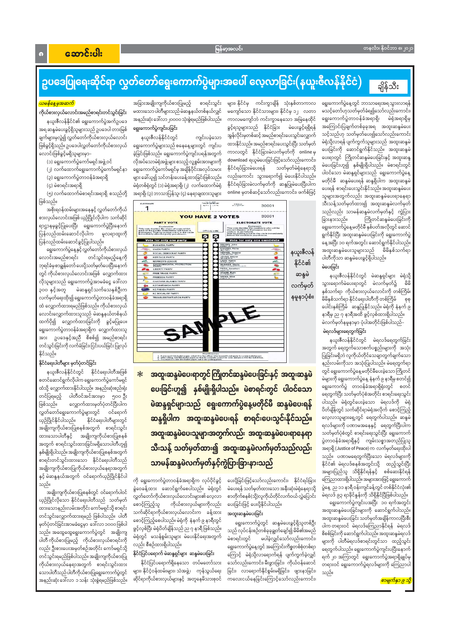များ၊ နိုင်ငံမှ ကင်းကွာချိန် သုံးနှစ်တာကာလ

မကျော်သော နိုင်ငံသားများ၊ နိုင်ငံမှ ၁၂ လတာ

ကာလမကျော်ဘဲ ကင်းကွာနေသော အမြဲနေထိုင်

ခွင့်ရသူများသည် နိုင်ငံခြား မဲပေးခွင့်ရရှိရန်

အွန်လိုင်းမှတစ်ဆင့် အမည်စာရင်းပေးသွင်းလျှောက်

ထားနိုင်သည်။ အမည်စာရင်းပေးသွင်းပြီး သတ်မှတ်

ကာလတွင် နိုင်ငံခြားမဲလက်မှတ်ကို online မှ

download ရယူမဲပေးခြင်းဖြင့်သော်လည်းကောင်း၊

လည်းကောင်း သွားရောက်၍ မဲပေးနိုင်ပါသည်။

နိုင်ငံရပ်ခြားမဲလက်မှတ်ကို ဆန္ဒပြုမဲပေးပြီးပါက

online မှတစ်ဆင့်သော်လည်းကောင်း၊ ဖက်စ်ဖြင့်

သတ်မှတ်မဲရုံနေရာသို့

နိုင်ငံရပ်ခြားမဲပေးရန်

### အောင်းပါး

## ချိန်သီး

# ဥပဒေပြုရေးဆိုင်ရာ လွှတ်တော်ရွေးကောက်ပွဲများအပေါ် လေ့လာခြင်း(နယူးဇီလန်နိုင်ငံ)

#### <mark>ယမန်နေ့မှအဆက်</mark>

ကိုယ်စားလှယ်လောင်းအမည်စာရင်းတင်သွင်းခြင်း

နယူးဇီလန်နိုင်ငံ၏ ရွေးကောက်ပွဲအက်ဥပဒေ အရ ဆန္ဒမဲပေးခွင့်ရှိသူများသည် ဥပဒေပါ တားမြစ် ချက်များမှလွဲ၍ လွှတ်တော်ကိုယ်စားလှယ်လောင်း ဖြစ်ခွင့်ရှိသည်။ ဥပဒေပါလွှတ်တော်ကိုယ်စားလှယ် လောင်းဖြစ်ခွင့်မရှိသူများမှာ–

(၁) ရွေးကောက်ပွဲကော်မရှင်အဖွဲ့ ဝင်

(၂) လက်ထောက်ရွေးကောက်ပွဲကော်မရှင်နာ

(၃) ရွေးကောက်ပွဲတာဝန်ခံအရာရှိ

(၄) မဲစာရင်းအရာရှိ

(၅) လက်ထောက်မဲစာရင်းအရာရှိ စသည်တို့ ဖြစ်သည်။

အစိုးရဝန်ထမ်းများအနေနှင့် လွှတ်တော်ကိုယ် စားလှယ်လောင်းအဖြစ် ယှဉ်ပြိုင်လိုပါက သက်ဆိုင် ရာဌာနမှခွင့်ပြုပေးပြီး ရွေးကောက်ပွဲပြီးနောက် ပြန်လည်ထမ်းဆောင်လိုပါက မူလရာထူးကို ပြန်လည်ထမ်းဆောင်ခွင့်ပြုပါသည်။

ရွေးကောက်ပွဲနေ့နှင့်လွှတ်တော်ကိုယ်စားလှယ် လောင်းအမည်စာရင်း တင်သွင်းရမည့်နေ့ကို ဘုရင်ခံမှစာချွန်တော် ပေးပို့သတ်မှတ်ပေးပြီးနောက် တွင် ကိုယ်စားလှယ်လောင်းအဖြစ် လျှောက်ထား လိုသူများသည် ရွေးကောက်ပွဲအာမခံငွေ ဒေါ်လာ မဲဆန္ဒရှင်သက်သေနှစ်ဦးက ၃၀၀ နှင့်အတူ လက်မှတ်ရေးထိုး၍ ရွေးကောက်ပွဲတာဝန်ခံအရာရှိ ထံ လျှောက်ထားရမည်ဖြစ်သည်။ ကိုယ်စားလှယ် လောင်းလျှောက်ထားသူသည် မဲဆန္ဒနယ်တစ်နယ် ထက်ပို၍ လျှောက်ထားခြင်းကို ခွင့်မပြုပေ။ ရွေးကောက်ပွဲတာဝန်ခံအရာရှိက လျှောက်ထားသူ အား ဥပဒေနှင့်အညီ စိစစ်၍ အမည်စာရင်း တင်သွင်းခြင်းကို လက်ခံခြင်း၊ငြင်းပယ်ခြင်းပြုလုပ် နိုင်သည်။

### နိုင်ငံရေးပါတီများ မှတ်ပုံတင်ခြင်း

နယူးဇီလန်နိုင်ငံတွင် နိုင်ငံရေးပါတီအဖြစ် စတင်ဆောင်ရွက်လိုပါက ရွေးကောက်ပွဲကော်မရှင် ထံသို့ လျှောက်ထားနိုင်ပါသည်။ အနည်းဆုံးစည်းရုံး တင်ပြရမည့် ပါတီဝင်အင်အားမှာ ၅၀၀-ဦး ဖြစ်သည်။ လျှောက်ထားမှတ်ပုံတင်ပြီးပါက လွှတ်တော်ရွေးကောက်ပွဲများတွင် ဝင်ရောက် ယှဉ်ပြိုင်နိုင်ပါသည်။ နိုင်ငံရေးပါတီများတွင် အချိုးကျကိုယ်စားပြုစနစ်အတွက် စာရင်းသွင်း ထားသောပါတီနှင့် အချိုးကျကိုယ်စားပြုစနစ် အတွက် စာရင်းသွင်းထားခြင်းမရှိသောပါတီဟူ၍ နှစ်မျိုးရှိပါသည်။ အချိုးကျကိုယ်စားပြုစနစ်အတွက် စာရင်းတင်သွင်းထားသော နိုင်ငံရေးပါတီသည် အချိုးကျကိုယ်စားပြုကိုယ်စားလှယ်နေရာအတွက် နှင့် မဲဆန္ဒနယ်အတွက် ဝင်ရောက်ယှဉ်ပြိုင်နိုင်ပါ သည်။ အချိုးကျကိုယ်စားပြုစနစ်တွင် ဝင်ရောက်ပါဝင် ယှဉ်ပြိုင်လိုသော နိုင်ငံရေးပါတီသည် သတ်မှတ် ထားသောနည်းလမ်းအတိုင်း ကော်မရှင်သို့ စာရင်း တင်သွင်းလျှောက်ထားရမည် ဖြစ်ပါသည်။ ပါတီ မှတ်ပုံတင်ခြင်းအာမခံငွေမှာ ဒေါ်လာ ၁၀၀၀ ဖြစ်ပါ သည်။ အထွေထွေရွေးကောက်ပွဲတွင် အချိုးကျ ပါတီ ကိုယ်စားပြုမည့် ကိုယ်စားလှယ်စာရင်းကို လည်း ဦးစားပေးအမှတ်စဉ်အတိုင်း ကော်မရှင်သို့ တင်သွင်းရမည်ဖြစ်ပါသည်။ အချိုးကျကိုယ်စားပြု ကိုယ်စားလှယ်နေရာအတွက် စာရင်းသွင်းထား သောပါတီသည် ပါတီကိုယ်စားပြုရွေးကောက်ပွဲတွင် အနည်းဆုံး ဒေါ်လာ ၁ သန်း သုံးစွဲရမည်ဖြစ်သည်။ အခြားအချိုးကျကိုယ်စားပြုမည့် စာရင်းသွင်း မထားသော ပါတီများသည် မဲဆန္ဒနယ်တစ်နယ်လျှင် အနည်းဆုံး ဒေါ်လာ၂၀၀၀၀ သုံးစွဲရမည်ဖြစ်ပါသည်။ ရွေးကောက်ပွဲကျင်းပခြင်း

နယူးဇီလန်နိုင်ငံတွင် ကျင်းပခဲ့သော ရွေးကောက်ပွဲများသည် စနေနေ့များတွင် ကျင်းပ ခဲ့ခြင်းဖြစ်သည်။ ရွေးကောက်ပွဲကျင်းပရန်အတွက် လိုအပ်သောမဲရုံအဖွဲ့ များ စသည့် လူ့စွမ်းအားများကို ရွေးကောက်ပွဲကော်မရှင်မှ အချိန်ပိုင်းအလုပ်သမား များ ခေါ်ယူ၍ သင်တန်းပေးခန့်ထားခြင်းဖြစ်သည်။ မဲရုံတစ်ရုံတွင် (၁) မဲရုံအရာရှိ၊ (၂) လက်ထောက်မဲရုံ အရာရှိ၊ (၃) ဘာသာပြန်သူ၊ (၄) နေရာချထားသူများ

| <b>PARTY VOTE</b>                                                                                                                                                                                                     |               |                                                                                               | <b>ELECTORATE VOTE</b>                                                                                                                |                        |
|-----------------------------------------------------------------------------------------------------------------------------------------------------------------------------------------------------------------------|---------------|-----------------------------------------------------------------------------------------------|---------------------------------------------------------------------------------------------------------------------------------------|------------------------|
| Explanation                                                                                                                                                                                                           |               | Explanation                                                                                   |                                                                                                                                       |                        |
| This vote dealdes the share of seats which<br>each of the parties listed below will have in<br>Parliament. Vote by putting a tick in the circle<br>Immodiately after the party you choose.<br>Vote for only one party | OFFICIAL VARK | elected Member of Parliament for the<br>AORAKI ELECTORATE<br>belore the candidate you choose. | This vote decides the candidate who will be<br>Vote by putting a tick in the circle immediately<br><b>Vote for only one candidate</b> |                        |
| <b>BUSINESS PARTY</b>                                                                                                                                                                                                 |               | BROWN, John                                                                                   |                                                                                                                                       |                        |
| <b>UNION PARTY</b>                                                                                                                                                                                                    |               | <b>EGGERS, Flona</b>                                                                          | <b>CREATE</b>                                                                                                                         |                        |
| <b>SOCIAL DEMOCRAT PARTY</b>                                                                                                                                                                                          |               | UNITS TART<br><b>HENKEL, Graeme</b>                                                           |                                                                                                                                       | နယူးဇီလန်<br>နိုင်ငံ၏  |
| <b>HERITAGE PARTY</b>                                                                                                                                                                                                 |               | いちしゅうしょう<br>JOHNS, Wayne                                                                      |                                                                                                                                       |                        |
| and,<br>WORKER'S LEAGUE                                                                                                                                                                                               |               | LADD, Karen<br><b>LIPTUL LIPPLY</b>                                                           | <b>ANS</b>                                                                                                                            |                        |
| ENVIRONMENTAL PROTECTION<br>PARTY                                                                                                                                                                                     |               | McINNES, Mayla                                                                                |                                                                                                                                       |                        |
| <b>LIBERTY PARTY</b>                                                                                                                                                                                                  |               | PERO, Jonathan<br>LEEFEVING                                                                   |                                                                                                                                       |                        |
| <b>FREE TRADE PARTY</b>                                                                                                                                                                                               |               | <b>STARR, Ruth</b><br><b>MINER</b>                                                            | $\bullet$                                                                                                                             | ်<br>ဆန္ဒမဲ<br>လက်မှတ် |
| ٠<br><b>FREEDOM PARTY</b>                                                                                                                                                                                             |               | WEISS, Mike<br>FIRSTLY ON                                                                     | ٥                                                                                                                                     |                        |
| z.<br><b>CHATHAM ISLANDS PARTY</b>                                                                                                                                                                                    |               |                                                                                               |                                                                                                                                       |                        |
| <b>KOTAHITANGA PARTY</b>                                                                                                                                                                                              |               |                                                                                               |                                                                                                                                       |                        |
| <b>NZ FABIEN PARTY</b>                                                                                                                                                                                                |               |                                                                                               |                                                                                                                                       |                        |
| <b>NZ SOCIALIST PARTY</b>                                                                                                                                                                                             |               |                                                                                               |                                                                                                                                       |                        |
| TRANSUBSTANTIATION PARTY                                                                                                                                                                                              |               |                                                                                               |                                                                                                                                       | နမူနာပုံစံ။            |
|                                                                                                                                                                                                                       |               |                                                                                               |                                                                                                                                       |                        |
|                                                                                                                                                                                                                       |               |                                                                                               |                                                                                                                                       |                        |
|                                                                                                                                                                                                                       |               |                                                                                               |                                                                                                                                       |                        |
|                                                                                                                                                                                                                       |               |                                                                                               |                                                                                                                                       |                        |
|                                                                                                                                                                                                                       |               |                                                                                               |                                                                                                                                       |                        |
|                                                                                                                                                                                                                       |               |                                                                                               |                                                                                                                                       |                        |
|                                                                                                                                                                                                                       |               |                                                                                               |                                                                                                                                       |                        |
|                                                                                                                                                                                                                       |               |                                                                                               |                                                                                                                                       |                        |
|                                                                                                                                                                                                                       |               |                                                                                               |                                                                                                                                       |                        |
|                                                                                                                                                                                                                       |               |                                                                                               |                                                                                                                                       |                        |
|                                                                                                                                                                                                                       |               |                                                                                               |                                                                                                                                       |                        |

အထူးဆန္ဒမဲပေးရာတွင် ကြိုတင်ဆန္ဒမဲပေးခြင်းနှင့် အထူးဆန္ဒမဲ ပေးခြင်းဟူ၍ နှစ်မျိုးရှိပါသည်။ မဲစာရင်းတွင် ပါဝင်သော မဲဆန္ဒရှင်များသည် ရွေးကောက်ပွဲနေ့မတိုင်မီ ဆန္ဒမဲပေးရန် ဆန္ဒရှိပါက အထူးဆန္ဒမဲပေးရန် စာရင်းပေးသွင်းနိုင်သည်။ အထူးဆန္ဒမဲပေးသူများအတွက်လည်း အထူးဆန္ဒမဲပေးရာနေရာ သီးသန့် သတ်မှတ်ထား၍ အထူးဆန္ဒမဲလက်မှတ်သည်လည်း သာမန်ဆန္ဒမဲလက်မှတ်နှင့်ကွဲပြားခြားနားသည်

ကို ရွေးကောက်ပွဲတာဝန်ခံအရာရှိက လုပ်ပိုင်ခွင့် ပေးပို့ခြင်းဖြင့်သော်လည်းကောင်း၊ နိုင်ငံရပ်ခြား ခွဲဝေခန့်ထား ဆောင်ရွက်စေပါသည်။ မဲရုံတွင် မဲပေးရန် သတ်မှတ်ထားသော အနီးဆုံးမဲရုံနေရာသို့ စာတိုက်စနစ်(သို့)လူကိုယ်တိုင်လက်ဝယ်လွှဲပြောင်း လွှတ်တော်ကိုယ်စားလှယ်လောင်းများ၏ လေ့လာ ပေးခြင်းဖြင့် ပေးပို့နိုင်ပါသည်။ ကိုယ်စားလှယ်များကိုလည်း စောင့်ကြည့်သူ သက်ဆိုင်ရာကိုယ်စားလှယ်လောင်းက ခန့်ထား အထူးဆန္ဒမဲပေးခြင်း စောင့်ကြည့်စေပါသည်။ မဲရုံကို နံနက် ၉ နာရီတွင် ရွေးကောက်ပွဲတွင် ဆန္ဒမဲပေးခွင့်ရှိသူတစ်ဦး ဖွင့်လှစ်ပြီး မဲရုံပိတ်ချိန်သည် ည ၇ နာရီ ဖြစ်သည်။ သည် လုပ်ငန်းစဉ်တစ်ခုခုချွတ်ချော်၍ မိမိ၏အမည် မဲရုံတွင် မသန်စွမ်းသူများ မဲပေးနိုင်ရေးအတွက် မဲစာရင်းတွင် မပါခဲ့လျှင်သော်လည်းကောင်း၊ လည်း စီစဉ်ထားရှိပါသည်။ ရွေးကောက်ပွဲနေ့တွင် အကြောင်းကိစ္စတစ်စုံတစ်ရာ နိုင်ငံပြင်ပရောက် မဲဆန္ဒရှင်များ ဆန္ဒမဲပေးခြင်း ကြောင့် မဲရုံသို့လာရောက်ရန် ပျက်ကွက်ခဲ့လျှင် နိုင်ငံပြင်ပရောက်ရှိနေသော တပ်မတော်သား သော်လည်းကောင်း၊ မီးဖွားခြင်း၊ ကိုယ်ဝန်ဆောင် ခြင်း၊ လာရောက်နိုင်စွမ်းမရှိခြင်း၊ ဖျားနာခြင်း၊ များ၊ နိုင်ငံ့ဝန်ထမ်းများ၊ သံအဖွဲ့၊ ကုန်သွယ်ရေး ဆိုင်ရာကိုယ်စားလှယ်များနှင့် အတူနေမိသားစုဝင် ကလေးငယ်နေခြင်းကြောင့်သော်လည်းကောင်း၊

မသင့်တော်ဟုသတ်မှတ်ခံရ၍သော်လည်းကောင်း၊ ရွေးကောက်ပွဲတာဝန်ခံအရာရှိ၊ မဲရုံအရာရှိမှ အကြောင်းပြချက်တစ်ခုခုအရ အထူးဆန္ဒမဲပေး သင့်သည်ဟု သတ်မှတ်ပေး၍သော်လည်းကောင်း မဲရုံသို့လာရန် ပျက်ကွက်သူများသည် အထူးဆန္ဒမဲ ပေးခြင်းကို ဆောင်ရွက်နိုင်သည်။ အထူးဆန္ဒမဲ ပေးရာတွင် ကြိုတင်ဆန္ဒမဲပေးခြင်းနှင့် အထူးဆန္ဒ မဲပေးခြင်းဟူ၍ နှစ်မျိုးရှိပါသည်။ မဲစာရင်းတွင် ပါဝင်သော မဲဆန္ဒရှင်များသည် ရွေးကောက်ပွဲနေ့ မတိုင်မီ ဆန္ဒမဲပေးရန် ဆန္ဒရှိပါက အထူးဆန္ဒမဲ ပေးရန် စာရင်းပေးသွင်းနိုင်သည်။ အထူးဆန္ဒမဲပေး သူများအတွက်လည်း အထူးဆန္ဒမဲပေးရာနေရာ သီးသန့်သတ်မှတ်ထား၍ အထူးဆန္ဒမဲလက်မှတ် သည်လည်း သာမန်ဆန္ဒမဲလက်မှတ်နှင့် ကွဲပြား ကြိုတင်ဆန္ဒမဲပေးခြင်းကို ခြားနားသည်။ ရွေးကောက်ပွဲနေ့မတိုင်မီ နှစ်ပတ်အလိုတွင် ဆောင် ရွက်နိုင်ပြီး အထူးဆန္ဒမဲပေးခြင်းကို ရွေးကောက်ပွဲ နေ့အပြီး ၁၀ ရက်အတွင်း ဆောင်ရွက်နိုင်ပါသည်။ အထူးဆန္ဒမဲပေးသူများသည် မိမိနှစ်သက်ရာ ပါတီကိုသာ ဆန္ဒမဲပေးခွင့်ရှိပါသည်။ မဲပေးခြင်း

ရွေးကောက်ပွဲနေ့တွင် ဘာသာရေးအရသွားလာရန်

နယူးဇီလန်နိုင်ငံတွင် မဲဆန္ဒရှင်များ မဲရုံသို့ သွားရောက်မဲပေးရာတွင် မဲလက်မှတ်၌ မိမိ နှစ်သက်ရာ ကိုယ်စားလှယ်လောင်းကို တစ်ကြိမ်၊ မိမိနှစ်သက်ရာ နိုင်ငံရေးပါတီကို တစ်ကြိမ် စုစု ပေါင်းနှစ်ကြိမ် ဆန္ဒပြုနိုင်သည်။ မဲရုံကို နံနက် ၉ နာရီမှ ည ၇ နာရီအထိ ဖွင့်လှစ်ထားရှိပါသည်။

မဲလက်မှတ်နမူနာမှာ ပုံပါအတိုင်းဖြစ်ပါသည်– မဲရလဒ်များရေတွက်ခြင်း

နယူးဇီလန်နိုင်ငံတွင် မဲရလဒ်ရေတွက်ခြင်း အတွက် ရေတွက်သောစက်ပစ္စည်းများကို အသုံး ပြုခြင်းမရှိဘဲ လူကိုယ်တိုင်သေချာတွက်ချက်သော နည်းလမ်းကိုသာ အသုံးပြုပါသည်။ မဲရေတွက်ရာ တွင် ရွေးကောက်ပွဲနေ့မတိုင်မီပေးခဲ့သော ကြိုတင် မဲများကို ရွေးကောက်ပွဲနေ့ နံနက် ၉ နာရီမှ စတင်၍ ရွေးကောက်ပွဲ တာဝန်ခံအရာရှိရုံးတွင် စတင် ရေတွက်ပြီး သတ်မှတ်ပုံစံအတိုင်း စာရင်းရေးသွင်း ပါသည်။ မဲရုံတွင်ပေးခဲ့သော မဲရလဒ်ကို မဲရုံ ပိတ်ချိန်တွင် သက်ဆိုင်ရာမဲရုံအလိုက် စောင့်ကြည့် လေ့လာသူများရေ့တွင် ရေတွက်ပါသည်။ ဆန္ဒမဲ ရလဒ်များကို ပဏာမအနေနှင့် ရေတွက်ပြီးပါက သတ်မှတ်ပုံစံတွင် စာရင်းရေးသွင်းပြီး ရွေးကောက် ပွဲတာဝန်ခံအရာရှိနှင့် ကျမ်းသစ္စာအတည်ပြုသူ အရာရှိ (Justice of Peace) က လက်မှတ်ရေးထိုးပါ သည်။ ပဏာမရေတွက်ပြီးသော မဲရလဒ်များကို နိုင်ငံ၏ မဲရလဒ်စနစ်အတွင်းသို့ ထည့်သွင်းပြီး ာ<br>အများပြည်သူ သိရှိနိုင်ရန်နှင့် စစ်ဆေးနိုင်ရန် <mark>ကြေညာထားရှိပါသည်။ အများအားဖြင့် ရွေးကော</mark>ဂ ပွဲနေ့ ည ၁၁ နာရီ ဝန်းကျင်ခန့်တွင် တစ်နိုင်ငံလုံး၏ မဲရလဒ် ၉၃ ရာခိုင်နှုန်းကို သိရှိနိုင်ပြီဖြစ်ပါသည်။ ရွေးကောက်ပွဲကျင်းပအပြီး ၁၀ ရက်အတွင်း အထူးဆန္ဒမဲပေးခြင်းများကို ဆောင်ရွက်ပါသည်။ အထူးဆန္ဒမဲပေးခြင်း သတ်မှတ်အချိန်ကာလပြီးစီး ပါက တရားဝင် မဲရလဒ်ကြေညာနိုင်ရန် မဲရလဒ် စိစစ်ခြင်းကို ဆောင်ရွက်ပါသည်။ အထူးဆန္ဒမဲရလဒ် များကို ပါတီမဲရလဒ်စာရင်းတွင်သာ ထည့်သွင်း ရေတွက်ပါသည်။ ရွေးကောက်ပွဲကျင်းပပြီးနောက် ရက် ၂၀ အကြာတွင် ရွေးကောက်ပွဲအရာရှိချုပ်မှ တရားဝင် ရွေးကောက်ပွဲရလဒ်များကို ကြေညာပါ သည်။

<mark>စာမျက်နှာ ၉ သို့</mark>

 $\bullet$